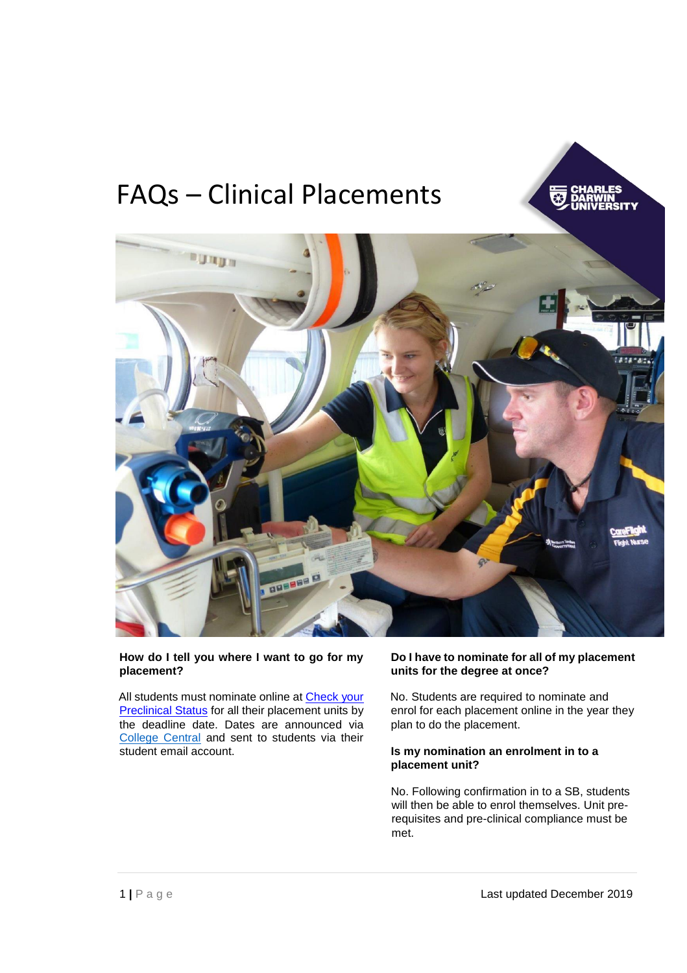# FAQs – Clinical Placements





#### **How do I tell you where I want to go for my placement?**

All students must nominate online at Check your **[Preclinical Status](https://portal.cdu.edu.au/dashboard/)** for all their placement units by the deadline date. Dates are announced via [College Central](https://online.cdu.edu.au/ultra/courses/_45757_1/cl/outline) and sent to students via their student email account.

## **Do [I have to nominate for all of my placement](http://www.cdu.edu.au/health/undergraduate-nursing) [units for](http://www.cdu.edu.au/health/undergraduate-nursing) the degree at once?**

No. Students are required to nominate and enrol for each placement online in the year they plan to do the placement.

#### **Is my nomination an enrolment in to a placement unit?**

No. Following confirmation in to a SB, students will then be able to enrol themselves. Unit prerequisites and pre-clinical compliance must be met.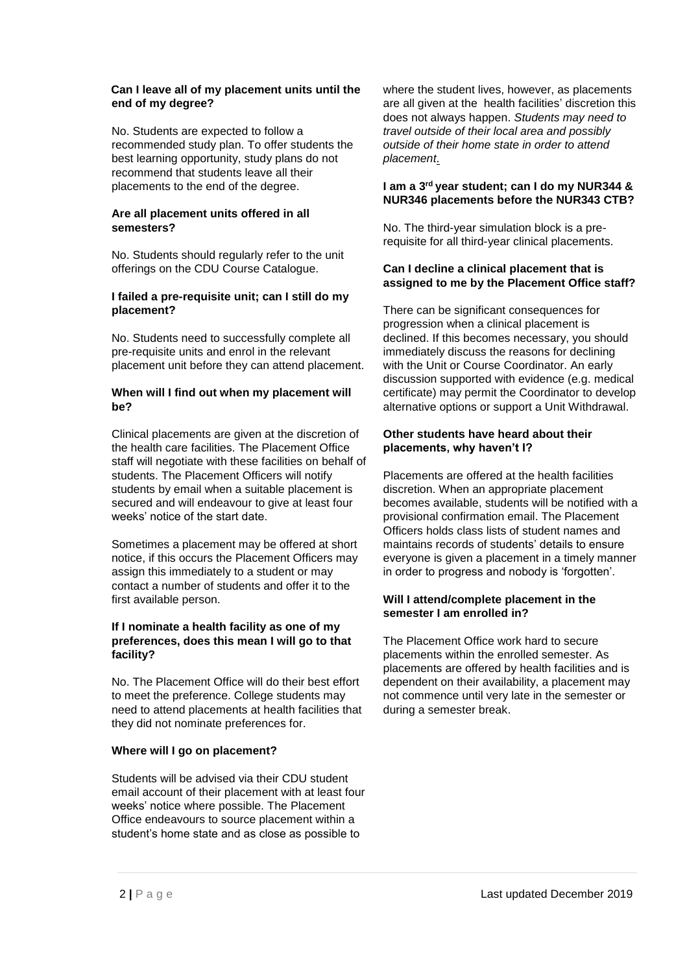#### **Can I leave all of my placement units until the end of my degree?**

No. Students are expected to follow a recommended study plan. To offer students the best learning opportunity, study plans do not recommend that students leave all their placements to the end of the degree.

## **Are all placement units offered in all semesters?**

No. Students should regularly refer to the unit offerings on the CDU Course Catalogue.

#### **I failed a pre-requisite unit; can I still do my placement?**

No. Students need to successfully c[omplete](http://www.cdu.edu.au/health/undergraduate-nursing) all [pre-requisite units and enrol in the relevant](http://www.cdu.edu.au/health/undergraduate-nursing) placement unit before they can attend placement.

#### **When will I find out when my placement will be?**

Clinical placements are given at the discretion of the health care facilities. The Placement Office staff will negotiate with these facilities on behalf of students. The Placement Officers will notify students by email when a suitable placement is secured and will endeavour to give at least four weeks' notice of the start date.

Sometimes a placement may be offered at short notice, if this occurs the Placement Officers may assign this immediately to a student or may contact a number of students and offer it to the first available person.

#### **If I nominate a health facility as one of my preferences, does this mean I will go to that facility?**

No. The Placement Office will do their best effort to meet the preference. College students may need to attend placements at health facilities that they did not nominate preferences for.

## **Where will I go on placement?**

Students will be advised via their CDU student email account of their placement with at least four weeks' notice where possible. The Placement Office endeavours to source placement within a student's home state and as close as possible to

where the student lives, however, as placements are all given at the health facilities' discretion this does not always happen. *Students may need to travel outside of their local area and possibly outside of their home state in order to attend placement*.

## **I am a 3rd year student; can I do my NUR344 & NUR346 placements before the NUR343 CTB?**

No. The third-year simulation block is a prerequisite for all third-year clinical placements.

#### **Can I decline a clinical placement that is assigned to me by the Placement Office staff?**

There can be significant consequences for progression when a clinical placement is declined. If this becomes necessary, you should immediately discuss the reasons for declining with the Unit or Course Coordinator. An early discussion supported with evidence (e.g. medical certificate) may permit the Coordinator to develop alternative options or support a Unit Withdrawal.

## **Other students have heard about their placements, why haven't I?**

Placements are of[fered at the health facilities](http://www.cdu.edu.au/health/undergraduate-nursing)  [discretion.](http://www.cdu.edu.au/health/undergraduate-nursing) [When an](http://www.cdu.edu.au/health/undergraduate-nursing) appropriate placement becomes available, students will be notified with a provisional confirmation email. The Placement Officers holds class lists of student names and maintains records of students' details to ensure everyone is given a placement in a timely manner in order to progress and nobody is 'forgotten'.

## **Will I attend/complete placement in the semester I am enrolled in?**

The Placement Office work hard to secure placements within the enrolled semester. As placements are offered by health facilities and is dependent on their availability, a placement may not commence until very late in the semester or during a semester break.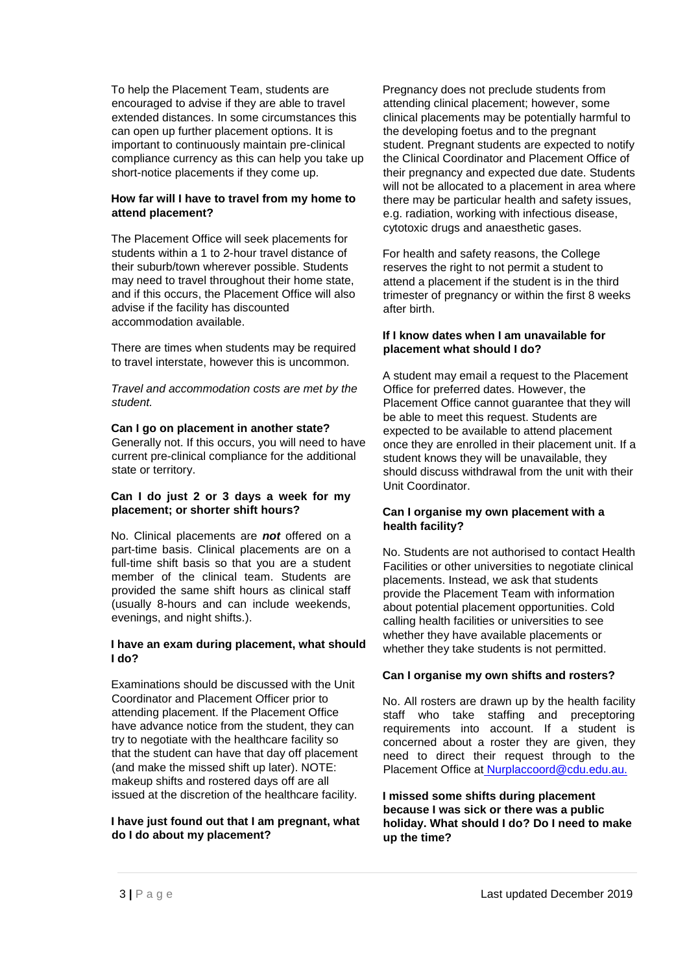To help the Placement Team, students are encouraged to advise if they are able to travel extended distances. In some circumstances this can open up further placement options. It is important to continuously maintain pre-clinical compliance currency as this can help you take up short-notice placements if they come up.

## **How far will I have to travel from my home to attend placement?**

The Placement Office will seek placements for students within a 1 to 2-hour travel distance of their suburb/town wherever possible. Students may need to travel throughout their home state, and if this occurs, the Placement Office will also advise if the facility has discounted accommodation available.

There are times when students may be required to travel interstate, however this is uncommon.

*Travel and accommodation costs are met by the student.* 

#### **Can I go on placement in another state?**

Generally not. If this occurs, you will need to have current pre-clinical compliance for the additional state or territory.

#### **Can I do just 2 or 3 days a week for my placement; or shorter shift hours?**

No. Clinical placements are *not* offered on a part-time basis. Clinical placements are on a full-time shift basis so that you are a student member of the clinical team. Students are provided the same shift hours as clinical staff (usually 8-hours and can include weekends, evenings, and night shifts.).

## **I have an exam during placement, what should I do?**

Examinations should be discussed with the Unit Coordinator and Placement Officer prior to attending placement. If the Placement Office have advance notice from the student, they can try to negotiate with the healthcare facility so that the student can have that day off placement (and make the missed shift up later). NOTE: makeup shifts and rostered days off are all issued at the discretion of the healthcare facility.

#### **I have just found out that I am pregnant, what do I do about my placement?**

Pregnancy does not preclude students from attending clinical placement; however, some clinical placements may be potentially harmful to the developing foetus and to the pregnant student. Pregnant students are expected to notify the Clinical Coordinator and Placement Office of their pregnancy and expected due date. Students will not be allocated to a placement in area where there may be particular health and safety issues, e.g. radiation, working with infectious disease, cytotoxic drugs and anaesthetic gases.

For health and safety reasons, the College reserves the right to not permit a student to attend a placement if the student is in the third trimester of pregnancy or within the first 8 weeks after birth.

#### **If I know dates when I am unavailable for placement what should I do?**

A student may email a request to the Placement Office for preferred dates. However, the Placement Office cannot guarantee that they will be able to meet this request. Students are expected to be available to attend placement once they are enrolled in their placement unit. If a student knows they will be unavailable, they should discuss withdrawal from the unit with their Unit Coordinator.

## **Can I organise my own placement with a health facility?**

No. Students are not authorised to contact Health Facilities or other universities to negotiate clinical placements. Instead, we ask that students provide the Placement Team with information about potential placement opportunities. Cold calling health facilities or universities to see whether they have available placements or whether they take students is not permitted.

## **Can I organise my own shifts and rosters?**

No. All rosters are drawn up by the health facility staff who take staffing and preceptoring requirements into account. If a student is concerned about a roster they are given, they need to direct their request through to the Placement Office at Nurplaccoord@cdu.edu.au.

**I missed some shifts during placement because I was sick or there was a public holiday. What should I do? Do I need to make up the time?**